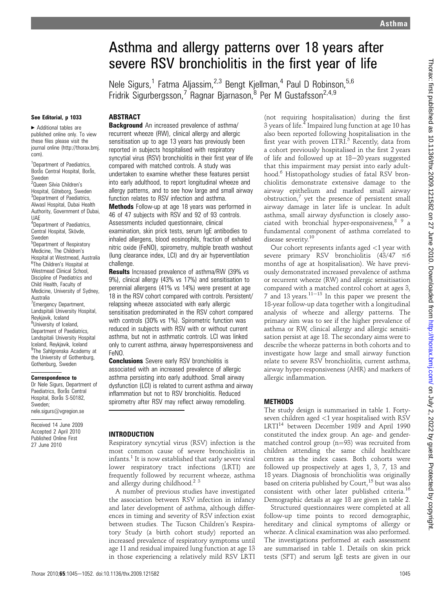# Asthma and allergy patterns over 18 years after severe RSV bronchiolitis in the first year of life

Nele Sigurs,<sup>1</sup> Fatma Aljassim,<sup>2,3</sup> Bengt Kjellman,<sup>4</sup> Paul D Robinson,<sup>5,6</sup> Fridrik Sigurbergsson,<sup>7</sup> Ragnar Bjarnason,<sup>8</sup> Per M Gustafsson<sup>2,4,9</sup>

#### See Editorial, p 1033

# **ABSTRACT**

▶ Additional tables are published online only. To view these files please visit the journal online (http://thorax.bmj. com).

<sup>1</sup>Department of Paediatrics, Borås Central Hospital, Borås, Sweden

<sup>2</sup>Queen Silvia Children's Hospital, Göteborg, Sweden <sup>3</sup>Department of Paediatrics, Alwasl Hospital, Dubai Health Authority, Government of Dubai, UAE

4 Department of Paediatrics, Central Hospital, Skövde, Sweden

5 Department of Respiratory Medicine, The Children's Hospital at Westmead, Australia <sup>6</sup>The Children's Hospital at Westmead Clinical School, Discipline of Paediatrics and Child Health, Faculty of Medicine, University of Sydney, Australia <sup>7</sup> Emergency Department, Landspitali University Hospital, Reykjavik, Iceland <sup>8</sup>University of Iceland, Department of Paediatrics, Landspitali University Hospital Iceland, Reykjavik, Iceland <sup>9</sup>The Sahlgrenska Academy at the University of Gothenburg,

# Gothenburg, Sweden Correspondence to

Dr Nele Sigurs, Department of Paediatrics, Boras Central Hospital, Borås S-50182, Sweden; nele.sigurs@vgregion.se

Received 14 June 2009 Accepted 2 April 2010 Published Online First 27 June 2010

#### **Background** An increased prevalence of asthma/ recurrent wheeze (RW), clinical allergy and allergic sensitisation up to age 13 years has previously been reported in subjects hospitalised with respiratory syncytial virus (RSV) bronchiolitis in their first year of life compared with matched controls. A study was undertaken to examine whether these features persist into early adulthood, to report longitudinal wheeze and allergy patterns, and to see how large and small airway function relates to RSV infection and asthma.

Methods Follow-up at age 18 years was performed in 46 of 47 subjects with RSV and 92 of 93 controls. Assessments included questionnaire, clinical examination, skin prick tests, serum IgE antibodies to inhaled allergens, blood eosinophils, fraction of exhaled nitric oxide (FeNO), spirometry, multiple breath washout (lung clearance index, LCI) and dry air hyperventilation challenge.

Results Increased prevalence of asthma/RW (39% vs 9%), clinical allergy (43% vs 17%) and sensitisation to perennial allergens (41% vs 14%) were present at age 18 in the RSV cohort compared with controls. Persistent/ relapsing wheeze associated with early allergic sensitisation predominated in the RSV cohort compared with controls (30% vs 1%). Spirometric function was reduced in subjects with RSV with or without current asthma, but not in asthmatic controls. LCI was linked only to current asthma, airway hyperresponsiveness and FeNO.

**Conclusions** Severe early RSV bronchiolitis is associated with an increased prevalence of allergic asthma persisting into early adulthood. Small airway dysfunction (LCI) is related to current asthma and airway inflammation but not to RSV bronchiolitis. Reduced spirometry after RSV may reflect airway remodelling.

#### INTRODUCTION

Respiratory syncytial virus (RSV) infection is the most common cause of severe bronchiolitis in infants.<sup>1</sup> It is now established that early severe viral lower respiratory tract infections (LRTI) are frequently followed by recurrent wheeze, asthma and allergy during childhood.<sup>2</sup><sup>3</sup>

A number of previous studies have investigated the association between RSV infection in infancy and later development of asthma, although differences in timing and severity of RSV infection exist between studies. The Tucson Children's Respiratory Study (a birth cohort study) reported an increased prevalence of respiratory symptoms until age 11 and residual impaired lung function at age 13 in those experiencing a relatively mild RSV LRTI

(not requiring hospitalisation) during the first 3 years of life.<sup>4</sup> Impaired lung function at age 10 has also been reported following hospitalisation in the first year with proven LTRI.<sup>5</sup> Recently, data from a cohort previously hospitalised in the first 2 years of life and followed up at  $18-20$  years suggested that this impairment may persist into early adulthood.<sup>6</sup> Histopathology studies of fatal RSV bronchiolitis demonstrate extensive damage to the airway epithelium and marked small airway obstruction, $\frac{7}{7}$  yet the presence of persistent small airway damage in later life is unclear. In adult asthma, small airway dysfunction is closely associated with bronchial hyper-responsiveness,<sup>89</sup> a fundamental component of asthma correlated to disease severity.<sup>10</sup>

Our cohort represents infants aged <1 year with severe primary RSV bronchiolitis  $(43/47 \le 6$ months of age at hospitalisation). We have previously demonstrated increased prevalence of asthma or recurrent wheeze (RW) and allergic sensitisation compared with a matched control cohort at ages 3, 7 and 13 years.<sup>11–13</sup> In this paper we present the 18-year follow-up data together with a longitudinal analysis of wheeze and allergy patterns. The primary aim was to see if the higher prevalence of asthma or RW, clinical allergy and allergic sensitisation persist at age 18. The secondary aims were to describe the wheeze patterns in both cohorts and to investigate how large and small airway function relate to severe RSV bronchiolitis, current asthma, airway hyper-responsiveness (AHR) and markers of allergic inflammation.

#### METHODS

The study design is summarised in table 1. Fortyseven children aged <1 year hospitalised with RSV LRTI<sup>14</sup> between December 1989 and April 1990 constituted the index group. An age- and gendermatched control group ( $n=93$ ) was recruited from children attending the same child healthcare centres as the index cases. Both cohorts were followed up prospectively at ages 1, 3, 7, 13 and 18 years. Diagnosis of bronchiolitis was originally based on criteria published by Court,<sup>15</sup> but was also consistent with other later published criteria.<sup>16</sup> Demographic details at age 18 are given in table 2.

Structured questionnaires were completed at all follow-up time points to record demographic, hereditary and clinical symptoms of allergy or wheeze. A clinical examination was also performed. The investigations performed at each assessment are summarised in table 1. Details on skin prick tests (SPT) and serum IgE tests are given in our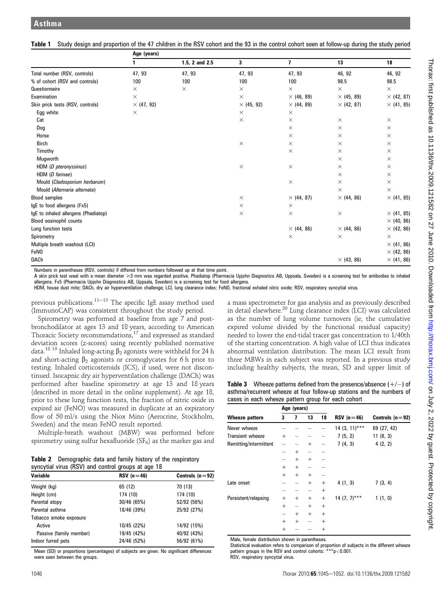|                                      | Age (years)       |                |                   |                   |                   |                   |  |  |
|--------------------------------------|-------------------|----------------|-------------------|-------------------|-------------------|-------------------|--|--|
|                                      |                   | 1.5, 2 and 2.5 | 3                 | 7                 | 13                | 18                |  |  |
| Total number (RSV, controls)         | 47, 93            | 47, 93         | 47, 93            | 47, 93            | 46, 92            | 46, 92            |  |  |
| % of cohort (RSV and controls)       | 100               | 100            | 100               | 100               | 98.5              | 98.5              |  |  |
| Questionnaire                        | X                 | $\times$       | $\times$          | $\times$          | $\times$          | $\times$          |  |  |
| Examination                          | $\times$          |                | $\times$          | $\times$ (46, 89) | $\times$ (45, 89) | $\times$ (42, 87) |  |  |
| Skin prick tests (RSV, controls)     | $\times$ (47, 92) |                | $\times$ (45, 92) | $\times$ (44, 89) | $\times$ (42, 87) | $\times$ (41, 85) |  |  |
| Egg white                            | $\times$          |                | $\times$          | $\times$          |                   |                   |  |  |
| Cat                                  |                   |                | $\times$          | $\times$          | $\times$          | $\times$          |  |  |
| Dog                                  |                   |                |                   | $\times$          | $\times$          | $\times$          |  |  |
| Horse                                |                   |                |                   | $\times$          | $\times$          | $\times$          |  |  |
| <b>Birch</b>                         |                   |                | $\times$          | $\times$          | $\times$          | $\times$          |  |  |
| Timothy                              |                   |                |                   | $\times$          | $\times$          | $\times$          |  |  |
| Mugworth                             |                   |                |                   |                   | $\times$          | $\times$          |  |  |
| HDM (D pteronyssinus)                |                   |                | $\times$          | $\times$          | $\times$          | $\times$          |  |  |
| HDM (D farinae)                      |                   |                |                   |                   | $\times$          | $\times$          |  |  |
| Mould (Cladosporium herbarum)        |                   |                |                   | $\times$          | $\times$          | $\times$          |  |  |
| Mould (Alternaria alternata)         |                   |                |                   |                   | $\times$          | $\times$          |  |  |
| <b>Blood samples</b>                 |                   |                | $\times$          | $\times$ (44, 87) | $\times$ (44, 86) | $\times$ (41, 85) |  |  |
| IqE to food allergens (Fx5)          |                   |                | $\times$          | $\times$          |                   |                   |  |  |
| IgE to inhaled allergens (Phadiatop) |                   |                | $\times$          | $\times$          | $\times$          | $\times$ (41, 85) |  |  |
| Blood eosinophil counts              |                   |                |                   |                   |                   | $\times$ (40, 86) |  |  |
| Lung function tests                  |                   |                |                   | $\times$ (44, 86) | $\times$ (44, 86) | $\times$ (42, 86) |  |  |
| Spirometry                           |                   |                |                   | $\times$          | $\times$          | $\times$          |  |  |
| Multiple breath washout (LCI)        |                   |                |                   |                   |                   | $\times$ (41, 86) |  |  |
| FeN <sub>0</sub>                     |                   |                |                   |                   |                   | $\times$ (42, 86) |  |  |
| <b>DACh</b>                          |                   |                |                   |                   | $\times$ (43, 86) | $\times$ (41, 86) |  |  |

Table 1 Study design and proportion of the 47 children in the RSV cohort and the 93 in the control cohort seen at follow-up during the study period

Numbers in parentheses (RSV, controls) if differed from numbers followed up at that time point.

A skin prick test weal with a mean diameter ≥3 mm was regarded positive. Phadiatop (Pharmacia Upjohn Diagnostics AB, Uppsala, Sweden) is a screening test for antibodies to inhaled allergens. Fx5 (Pharmacia Upjohn Diagnostics AB, Uppsala, Sweden) is a screening test for food allergens.

HDM, house dust mite; DACh, dry air hyperventilation challenge; LCI, lung clearance index; FeNO, fractional exhaled nitric oxide; RSV, respiratory syncytial virus.

previous publications.<sup>11–13</sup> The specific IgE assay method used (ImmunoCAP) was consistent throughout the study period.

Spirometry was performed at baseline from age 7 and postbronchodilator at ages 13 and 18 years, according to American Thoracic Society recommendations,<sup>17</sup> and expressed as standard deviation scores (z-scores) using recently published normative data.<sup>18 19</sup> Inhaled long-acting  $\beta_2$  agonists were withheld for 24 h and short-acting  $\beta_2$  agonists or cromoglycates for 6 h prior to testing. Inhaled corticosteroids (ICS), if used, were not discontinued. Isocapnic dry air hyperventilation challenge (DACh) was performed after baseline spirometry at age 13 and 18 years (described in more detail in the online supplement). At age 18, prior to these lung function tests, the fraction of nitric oxide in expired air (FeNO) was measured in duplicate at an expiratory flow of 50 ml/s using the Niox Mino (Aerocrine, Stockholm, Sweden) and the mean FeNO result reported.

Multiple-breath washout (MBW) was performed before spirometry using sulfur hexafluoride ( $SF<sub>6</sub>$ ) as the marker gas and

| <b>Table 2</b> Demographic data and family history of the respiratory |
|-----------------------------------------------------------------------|
| syncytial virus (RSV) and control groups at age 18                    |

| <b>Variable</b>         | $RSV(n=46)$ | Controls $(n=92)$ |
|-------------------------|-------------|-------------------|
| Weight (kg)             | 65 (12)     | 70 (13)           |
| Height (cm)             | 174 (10)    | 174 (10)          |
| Parental atopy          | 30/46 (65%) | 52/92 (56%)       |
| Parental asthma         | 18/46 (39%) | 25/92 (27%)       |
| Tobacco smoke exposure  |             |                   |
| Active                  | 10/45 (22%) | 14/92 (15%)       |
| Passive (family member) | 19/45 (42%) | 40/92 (43%)       |
| Indoor furred pets      | 24/46 (52%) | 56/92 (61%)       |
|                         |             |                   |

Mean (SD) or proportions (percentages) of subjects are given. No significant differences were seen between the groups

a mass spectrometer for gas analysis and as previously described in detail elsewhere.<sup>20</sup> Lung clearance index (LCI) was calculated as the number of lung volume turnovers (ie, the cumulative expired volume divided by the functional residual capacity) needed to lower the end-tidal tracer gas concentration to 1/40th of the starting concentration. A high value of LCI thus indicates abnormal ventilation distribution. The mean LCI result from three MBWs in each subject was reported. In a previous study including healthy subjects, the mean, SD and upper limit of

**Table 3** Wheeze patterns defined from the presence/absence  $(+/-)$  of asthma/recurrent wheeze at four follow-up stations and the numbers of cases in each wheeze pattern group for each cohort

|                         | Age (years) |        |        |        |                 |                   |
|-------------------------|-------------|--------|--------|--------|-----------------|-------------------|
| Wheeze pattern          | 3           | 7      | 13     | 18     | $RSV(n=46)$     | Controls $(n=92)$ |
| Never wheeze            |             |        |        |        | $14(3, 11)$ *** | 69 (27, 42)       |
| <b>Transient wheeze</b> | $^{+}$      |        |        |        | 7(5, 2)         | 11(8, 3)          |
| Remitting/intermittent  |             |        | $^{+}$ |        | 7(4, 3)         | 4(2, 2)           |
|                         |             | $^{+}$ |        |        |                 |                   |
|                         |             | $^{+}$ | $^{+}$ |        |                 |                   |
|                         | $^{+}$      | $^{+}$ |        |        |                 |                   |
|                         | $^{+}$      | $^{+}$ | $^{+}$ |        |                 |                   |
| Late onset              |             |        | $^{+}$ | $^{+}$ | 4(1, 3)         | 7(3, 4)           |
|                         |             |        |        | $^{+}$ |                 |                   |
| Persistent/relapsing    | $\ddot{}$   | $^{+}$ | $^{+}$ | $+$    | $14(7, 7)$ ***  | 1(1, 0)           |
|                         | $^{+}$      | -      | $^{+}$ | $^{+}$ |                 |                   |
|                         | -           | $^{+}$ | $^{+}$ | $^{+}$ |                 |                   |
|                         | $^{+}$      | $^{+}$ |        | $^{+}$ |                 |                   |
|                         | $^{+}$      |        |        | $\pm$  |                 |                   |

Male, female distribution shown in parentheses.

Statistical evaluation refers to comparison of proportion of subjects in the different wheeze pattern groups in the RSV and control cohorts: \*\*\*p<0.001. RSV, respiratory syncytial virus.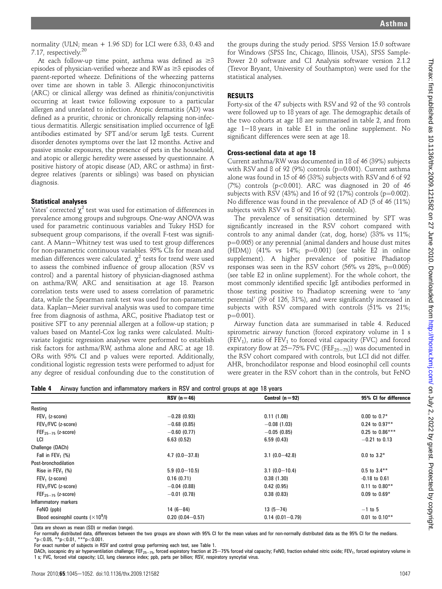normality (ULN; mean + 1.96 SD) for LCI were 6.33, 0.43 and 7.17, respectively.20

At each follow-up time point, asthma was defined as  $\geq 3$ episodes of physician-verified wheeze and RW as  $\geq 3$  episodes of parent-reported wheeze. Definitions of the wheezing patterns over time are shown in table 3. Allergic rhinoconjunctivitis (ARC) or clinical allergy was defined as rhinitis/conjunctivitis occurring at least twice following exposure to a particular allergen and unrelated to infection. Atopic dermatitis (AD) was defined as a pruritic, chronic or chronically relapsing non-infectious dermatitis. Allergic sensitisation implied occurrence of IgE antibodies estimated by SPT and/or serum IgE tests. Current disorder denotes symptoms over the last 12 months. Active and passive smoke exposures, the presence of pets in the household, and atopic or allergic heredity were assessed by questionnaire. A positive history of atopic disease (AD, ARC or asthma) in firstdegree relatives (parents or siblings) was based on physician diagnosis.

#### Statistical analyses

Yates' corrected  $\chi^2$  test was used for estimation of differences in prevalence among groups and subgroups. One-way ANOVA was used for parametric continuous variables and Tukey HSD for subsequent group comparisons, if the overall F-test was significant. A Mann-Whitney test was used to test group differences for non-parametric continuous variables. 95% CIs for mean and median differences were calculated.  $\chi^2$  tests for trend were used to assess the combined influence of group allocation (RSV vs control) and a parental history of physician-diagnosed asthma on asthma/RW, ARC and sensitisation at age 18. Pearson correlation tests were used to assess correlation of parametric data, while the Spearman rank test was used for non-parametric data. Kaplan-Meier survival analysis was used to compare time free from diagnosis of asthma, ARC, positive Phadiatop test or positive SPT to any perennial allergen at a follow-up station; p values based on Mantel-Cox log ranks were calculated. Multivariate logistic regression analyses were performed to establish risk factors for asthma/RW, asthma alone and ARC at age 18. ORs with 95% CI and p values were reported. Additionally, conditional logistic regression tests were performed to adjust for any degree of residual confounding due to the constitution of

the groups during the study period. SPSS Version 15.0 software for Windows (SPSS Inc, Chicago, Illinois, USA), SPSS Sample-Power 2.0 software and CI Analysis software version 2.1.2 (Trevor Bryant, University of Southampton) were used for the statistical analyses.

#### RESULTS

Forty-six of the 47 subjects with RSV and 92 of the 93 controls were followed up to 18 years of age. The demographic details of the two cohorts at age 18 are summarised in table 2, and from age  $1-18$  years in table E1 in the online supplement. No significant differences were seen at age 18.

#### Cross-sectional data at age 18

Current asthma/RW was documented in 18 of 46 (39%) subjects with RSV and 8 of 92 (9%) controls ( $p=0.001$ ). Current asthma alone was found in 15 of 46 (33%) subjects with RSV and 6 of 92  $(7%)$  controls  $(p<0.001)$ . ARC was diagnosed in 20 of 46 subjects with RSV (43%) and 16 of 92 (17%) controls ( $p=0.002$ ). No difference was found in the prevalence of AD (5 of 46 (11%) subjects with RSV vs 8 of 92 (9%) controls).

The prevalence of sensitisation determined by SPT was significantly increased in the RSV cohort compared with controls to any animal dander (cat, dog, horse) (33% vs 11%;  $p=0.005$ ) or any perennial (animal danders and house dust mites (HDM)) (41% vs 14%;  $p=0.001$ ) (see table E2 in online supplement). A higher prevalence of positive Phadiatop responses was seen in the RSV cohort  $(56\% \text{ vs } 28\%, \text{ p}=0.005)$ (see table E2 in online supplement). For the whole cohort, the most commonly identified specific IgE antibodies performed in those testing positive to Phadiatop screening were to 'any perennial' (39 of 126, 31%), and were significantly increased in subjects with RSV compared with controls (51% vs 21%;  $p=0.001$ ).

Airway function data are summarised in table 4. Reduced spirometric airway function (forced expiratory volume in 1 s (FEV<sub>1</sub>), ratio of FEV<sub>1</sub> to forced vital capacity (FVC) and forced expiratory flow at  $25-75\%$  FVC (FEF<sub>25-75</sub>)) was documented in the RSV cohort compared with controls, but LCI did not differ. AHR, bronchodilator response and blood eosinophil cell counts were greater in the RSV cohort than in the controls, but FeNO

|  | Table 4 Airway function and inflammatory markers in RSV and control groups at age 18 years |  |  |  |  |  |
|--|--------------------------------------------------------------------------------------------|--|--|--|--|--|
|--|--------------------------------------------------------------------------------------------|--|--|--|--|--|

|                                           | $RSV(n=46)$         | Control $(n=92)$    | 95% CI for difference |
|-------------------------------------------|---------------------|---------------------|-----------------------|
| Resting                                   |                     |                     |                       |
| $FEV1$ (z-score)                          | $-0.28(0.93)$       | 0.11(1.08)          | $0.00$ to $0.7*$      |
| FEV <sub>1</sub> /FVC (z-score)           | $-0.68(0.85)$       | $-0.08(1.03)$       | $0.24$ to $0.97**$    |
| $FEF_{25-75}$ (z-score)                   | $-0.60(0.77)$       | $-0.05(0.85)$       | $0.25$ to $0.86***$   |
| LCI                                       | 6.63(0.52)          | 6.59(0.43)          | $-0.21$ to 0.13       |
| Challenge (DACh)                          |                     |                     |                       |
| Fall in FEV <sub>1</sub> $(\%)$           | $4.7(0.0 - 37.8)$   | $3.1(0.0-42.8)$     | $0.0$ to $3.2*$       |
| Post-bronchodilation                      |                     |                     |                       |
| Rise in $FEV_1$ (%)                       | $5.9(0.0-10.5)$     | $3.1(0.0-10.4)$     | $0.5$ to $3.4***$     |
| $FEV1$ (z-score)                          | 0.16(0.71)          | 0.38(1.30)          | $-0.18$ to $0.61$     |
| FEV <sub>1</sub> /FVC (z-score)           | $-0.04$ (0.88)      | 0.42(0.95)          | $0.11$ to $0.80**$    |
| $FEF_{25-75}$ (z-score)                   | $-0.01$ (0.78)      | 0.38(0.83)          | $0.09$ to $0.69*$     |
| Inflammatory markers                      |                     |                     |                       |
| FeNO (ppb)                                | $14(6-84)$          | $13(5 - 74)$        | $-1$ to 5             |
| Blood eosinophil counts $(\times 10^9/1)$ | $0.20(0.04 - 0.57)$ | $0.14(0.01 - 0.79)$ | $0.01$ to $0.10**$    |

Data are shown as mean (SD) or median (range).

For normally distributed data, differences between the two groups are shown with 95% CI for the mean values and for non-normally distributed data as the 95% CI for the medians.  $*p$ <0.05,  $*p$ <0.01,  $***p$ <0.001.

For exact number of subjects in RSV and control group performing each test, see Table 1.

DACh, isocapnic dry air hyperventilation challenge; FEF<sub>25-75</sub>, forced expiratory fraction at 25-75% forced vital capacity; FeNO, fraction exhaled nitric oxide; FEV<sub>1</sub>, forced expiratory volume in 1 s; FVC, forced vital capacity; LCI, lung clearance index; ppb, parts per billion; RSV, respiratory syncytial virus.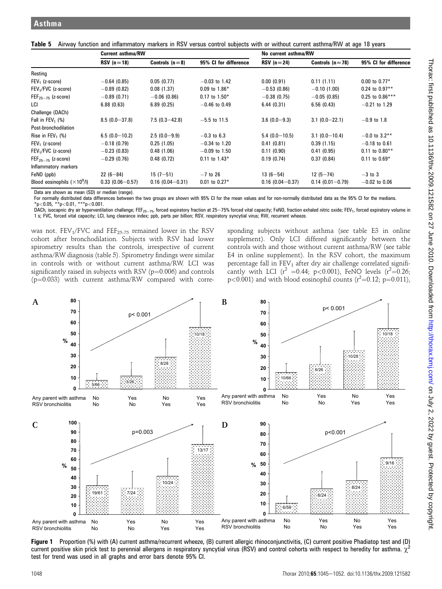|  | Table 5 Airway function and inflammatory markers in RSV versus control subjects with or without current asthma/RW at age 18 years |  |  |  |  |  |  |  |  |
|--|-----------------------------------------------------------------------------------------------------------------------------------|--|--|--|--|--|--|--|--|
|--|-----------------------------------------------------------------------------------------------------------------------------------|--|--|--|--|--|--|--|--|

|                                     | <b>Current asthma/RW</b> |                     |                       | No current asthma/RW   |                     |                       |  |
|-------------------------------------|--------------------------|---------------------|-----------------------|------------------------|---------------------|-----------------------|--|
|                                     | $RSV(n=18)$              | Controls $(n=8)$    | 95% CI for difference | $RSV(n=24)$            | Controls $(n=78)$   | 95% CI for difference |  |
| Resting                             |                          |                     |                       |                        |                     |                       |  |
| $FEV1$ (z-score)                    | $-0.64(0.85)$            | 0.05(0.77)          | $-0.03$ to 1.42       | 0.00(0.91)             | 0.11(1.11)          | $0.00$ to $0.77*$     |  |
| FEV <sub>1</sub> /FVC (z-score)     | $-0.89$ (0.82)           | 0.08(1.37)          | $0.09$ to 1.86*       | $-0.53(0.86)$          | $-0.10(1.00)$       | $0.24$ to $0.97**$    |  |
| $FEF25–75$ (z-score)                | $-0.89(0.71)$            | $-0.06$ (0.86)      | $0.17$ to $1.50*$     | $-0.38(0.75)$          | $-0.05(0.85)$       | $0.25$ to $0.86***$   |  |
| LCI                                 | 6.88(0.63)               | 6.89(0.25)          | $-0.46$ to 0.49       | 6.44(0.31)             | 6.56(0.43)          | $-0.21$ to 1.29       |  |
| Challenge (DACh)                    |                          |                     |                       |                        |                     |                       |  |
| Fall in FEV <sub>1</sub> $(\%)$     | $8.5(0.0 - 37.8)$        | $7.5(0.3 - 42.8)$   | $-5.5$ to 11.5        | $3.6(0.0-9.3)$         | $3.1(0.0-22.1)$     | $-0.9$ to 1.8         |  |
| Post-bronchodilation                |                          |                     |                       |                        |                     |                       |  |
| Rise in $FEV_1$ (%)                 | $6.5(0.0-10.2)$          | $2.5(0.0-9.9)$      | $-0.3$ to 6.3         | $5.4(0.0-10.5)$        | $3.1(0.0-10.4)$     | $-0.0$ to 3.2**       |  |
| $FEV1$ (z-score)                    | $-0.18(0.79)$            | 0.25(1.05)          | $-0.34$ to 1.20       | 0.41(0.81)             | 0.39(1.15)          | $-0.18$ to 0.61       |  |
| FEV <sub>1</sub> /FVC (z-score)     | $-0.23(0.83)$            | 0.48(1.06)          | $-0.09$ to 1.50       | 0.11(0.90)             | 0.41(0.95)          | $0.11$ to $0.80**$    |  |
| $FEF_{25-75}$ (z-score)             | $-0.29(0.76)$            | 0.48(0.72)          | $0.11$ to $1.43*$     | 0.19(0.74)             | 0.37(0.84)          | $0.11$ to $0.69*$     |  |
| Inflammatory markers                |                          |                     |                       |                        |                     |                       |  |
| FeNO (ppb)                          | $22(6-84)$               | $15(7-51)$          | $-7$ to 26            | $13(6 - 54)$           | $12(5 - 74)$        | $-3$ to 3             |  |
| Blood eosinophils $(\times 10^9/l)$ | $0.33(0.06 - 0.57)$      | $0.16(0.04 - 0.31)$ | $0.01$ to $0.27*$     | $0.16$ (0.04 $-0.37$ ) | $0.14(0.01 - 0.79)$ | $-0.02$ to 0.06       |  |

Data are shown as mean (SD) or median (range).

For normally distributed data differences between the two groups are shown with 95% CI for the mean values and for non-normally distributed data as the 95% CI for the medians.  $*_{p<0.05}$ ,  $*_{p<0.01}$ ,  $*_{*p<0.001}$ .

DACh, isocapnic dry air hyperventilation challenge; FEF<sub>25-75</sub>, forced expiratory fraction at 25-75% forced vital capacity; FeNO, fraction exhaled nitric oxide; FEV<sub>1</sub>, forced expiratory volume in 1 s; FVC, forced vital capacity; LCI, lung clearance index; ppb, parts per billion; RSV, respiratory syncytial virus; RW, recurrent wheeze.

was not.  $FEV_1/FVC$  and  $FEF_{25-75}$  remained lower in the RSV cohort after bronchodilation. Subjects with RSV had lower spirometry results than the controls, irrespective of current asthma/RW diagnosis (table 5). Spirometry findings were similar in controls with or without current asthma/RW. LCI was significantly raised in subjects with RSV ( $p=0.006$ ) and controls  $(p=0.033)$  with current asthma/RW compared with corre-

sponding subjects without asthma (see table E3 in online supplement). Only LCI differed significantly between the controls with and those without current asthma/RW (see table E4 in online supplement). In the RSV cohort, the maximum percentage fall in  $FEV_1$  after dry air challenge correlated significantly with LCI ( $r^2 = 0.44$ ; p<0.001), FeNO levels ( $r^2 = 0.26$ ;  $p<0.001$ ) and with blood eosinophil counts ( $r^2=0.12$ ;  $p=0.011$ ),



Figure 1 Proportion (%) with (A) current asthma/recurrent wheeze, (B) current allergic rhinoconjunctivitis, (C) current positive Phadiatop test and (D) current positive skin prick test to perennial allergens in respiratory syncytial virus (RSV) and control cohorts with respect to heredity for asthma.  $\chi$ test for trend was used in all graphs and error bars denote 95% CI.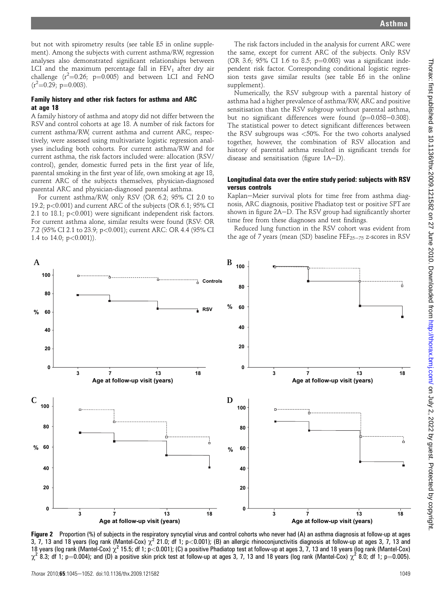but not with spirometry results (see table E5 in online supplement). Among the subjects with current asthma/RW, regression analyses also demonstrated significant relationships between LCI and the maximum percentage fall in  $FEV<sub>1</sub>$  after dry air challenge  $(r^2=0.26; p=0.005)$  and between LCI and FeNO  $(r^2=0.29; p=0.003)$ .

#### Family history and other risk factors for asthma and ARC at age 18

A family history of asthma and atopy did not differ between the RSV and control cohorts at age 18. A number of risk factors for current asthma/RW, current asthma and current ARC, respectively, were assessed using multivariate logistic regression analyses including both cohorts. For current asthma/RW and for current asthma, the risk factors included were: allocation (RSV/ control), gender, domestic furred pets in the first year of life, parental smoking in the first year of life, own smoking at age 18, current ARC of the subjects themselves, physician-diagnosed parental ARC and physician-diagnosed parental asthma.

For current asthma/RW, only RSV (OR 6.2; 95% CI 2.0 to 19.2; p<0.001) and current ARC of the subjects (OR 6.1; 95% CI 2.1 to 18.1; p<0.001) were significant independent risk factors. For current asthma alone, similar results were found (RSV: OR 7.2 (95% CI 2.1 to 23.9; p<0.001); current ARC: OR 4.4 (95% CI 1.4 to 14.0;  $p < 0.001$ )).

The risk factors included in the analysis for current ARC were the same, except for current ARC of the subjects. Only RSV (OR 3.6; 95% CI 1.6 to 8.5;  $p=0.003$ ) was a significant independent risk factor. Corresponding conditional logistic regression tests gave similar results (see table E6 in the online supplement).

Numerically, the RSV subgroup with a parental history of asthma had a higher prevalence of asthma/RW, ARC and positive sensitisation than the RSV subgroup without parental asthma, but no significant differences were found  $(p=0.058-0.308)$ . The statistical power to detect significant differences between the RSV subgroups was <50%. For the two cohorts analysed together, however, the combination of RSV allocation and history of parental asthma resulted in significant trends for disease and sensitisation (figure  $1A-D$ ).

#### Longitudinal data over the entire study period: subjects with RSV versus controls

Kaplan-Meier survival plots for time free from asthma diagnosis, ARC diagnosis, positive Phadiatop test or positive SPT are shown in figure 2A-D. The RSV group had significantly shorter time free from these diagnoses and test findings.

Reduced lung function in the RSV cohort was evident from the age of 7 years (mean (SD) baseline  $\text{FEF}_{25-75}$  z-scores in RSV



Figure 2 Proportion (%) of subjects in the respiratory syncytial virus and control cohorts who never had (A) an asthma diagnosis at follow-up at ages 3, 7, 13 and 18 years (log rank (Mantel-Cox)  $\chi^2$  21.0; df 1; p<0.001); (B) an allergic rhinoconjunctivitis diagnosis at follow-up at ages 3, 7, 13 and 18 years (log rank (Mantel-Cox)  $\chi^2$  15.5; df 1; p<0.001); (C) a positive Phadiatop test at follow-up at ages 3, 7, 13 and 18 years (log rank (Mantel-Cox)  $\chi^2$  8.3; df 1; p=0.004); and (D) a positive skin prick test at follow-up at ages 3, 7, 13 and 18 years (log rank (Mantel-Cox)  $\chi^2$  8.0; df 1; p=0.005).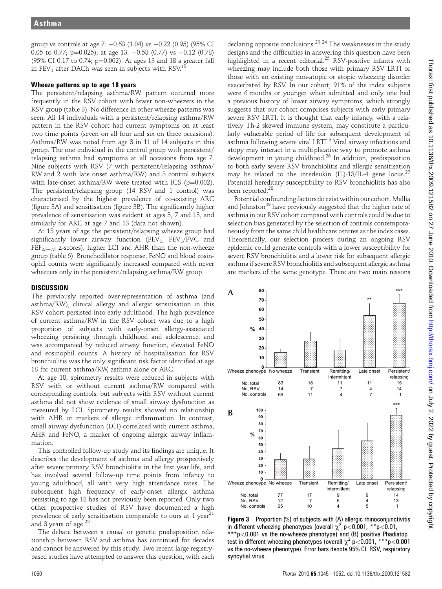group vs controls at age 7: -0.63 (1.04) vs -0.22 (0.95) (95% CI  $0.05$  to  $0.77$ ; p= $0.025$ ); at age 13:  $-0.58$  (0.77) vs  $-0.12$  (0.78) (95% CI 0.17 to 0.74;  $p=0.002$ ). At ages 13 and 18 a greater fall in FEV<sub>1</sub> after DACh was seen in subjects with RSV.<sup>13</sup>

#### Wheeze patterns up to age 18 years

The persistent/relapsing asthma/RW pattern occurred more frequently in the RSV cohort with fewer non-wheezers in the RSV group (table 3). No difference in other wheeze patterns was seen. All 14 individuals with a persistent/relapsing asthma/RW pattern in the RSV cohort had current symptoms on at least two time points (seven on all four and six on three occasions). Asthma/RW was noted from age 3 in 11 of 14 subjects in this group. The one individual in the control group with persistent/ relapsing asthma had symptoms at all occasions from age 7. Nine subjects with RSV (7 with persistent/relapsing asthma/ RW and 2 with late onset asthma/RW) and 3 control subjects with late-onset asthma/RW were treated with ICS ( $p=0.002$ ). The persistent/relapsing group (14 RSV and 1 control) was characterised by the highest prevalence of co-existing ARC (figure 3A) and sensitisation (figure 3B). The significantly higher prevalence of sensitisation was evident at ages 3, 7 and 13, and similarly for ARC at age 7 and 13 (data not shown).

At 18 years of age the persistent/relapsing wheeze group had significantly lower airway function (FEV<sub>1</sub>, FEV<sub>1</sub>/FVC and  $FEF_{25-75}$  z-scores), higher LCI and AHR than the non-wheeze group (table 6). Bronchodilator response, FeNO and blood eosinophil counts were significantly increased compared with never wheezers only in the persistent/relapsing asthma/RW group.

## **DISCUSSION**

The previously reported over-representation of asthma (and asthma/RW), clinical allergy and allergic sensitisation in this RSV cohort persisted into early adulthood. The high prevalence of current asthma/RW in the RSV cohort was due to a high proportion of subjects with early-onset allergy-associated wheezing persisting through childhood and adolescence, and was accompanied by reduced airway function, elevated FeNO and eosinophil counts. A history of hospitalisation for RSV bronchiolitis was the only significant risk factor identified at age 18 for current asthma/RW, asthma alone or ARC.

At age 18, spirometry results were reduced in subjects with RSV with or without current asthma/RW compared with corresponding controls, but subjects with RSV without current asthma did not show evidence of small airway dysfunction as measured by LCI. Spirometry results showed no relationship with AHR or markers of allergic inflammation. In contrast, small airway dysfunction (LCI) correlated with current asthma, AHR and FeNO, a marker of ongoing allergic airway inflammation.

This controlled follow-up study and its findings are unique. It describes the development of asthma and allergy prospectively after severe primary RSV bronchiolitis in the first year life, and has involved several follow-up time points from infancy to young adulthood, all with very high attendance rates. The subsequent high frequency of early-onset allergic asthma persisting to age 18 has not previously been reported. Only two other prospective studies of RSV have documented a high prevalence of early sensitisation comparable to ours at 1 year<sup>21</sup> and 3 years of age. $^{22}$ 

The debate between a causal or genetic predisposition relationship between RSV and asthma has continued for decades and cannot be answered by this study. Two recent large registrybased studies have attempted to answer this question, with each

declaring opposite conclusions.<sup>23</sup>  $^{24}$  The weaknesses in the study designs and the difficulties in answering this question have been highlighted in a recent editorial.<sup>25</sup> RSV-positive infants with wheezing may include both those with primary RSV LRTI or those with an existing non-atopic or atopic wheezing disorder exacerbated by RSV. In our cohort, 91% of the index subjects were 6 months or younger when admitted and only one had a previous history of lower airway symptoms, which strongly suggests that our cohort comprises subjects with early primary severe RSV LRTI. It is thought that early infancy, with a relatively Th-2 skewed immune system, may constitute a particularly vulnerable period of life for subsequent development of asthma following severe viral LRTI.<sup>3</sup> Viral airway infections and atopy may interact in a multiplicative way to promote asthma development in young childhood.<sup>26</sup> In addition, predisposition to both early severe RSV bronchiolitis and allergic sensitisation may be related to the interleukin (IL)-13/IL-4 gene locus.<sup>27</sup> Potential hereditary susceptibility to RSV bronchiolitis has also been reported.<sup>28</sup>

Potential confounding factors do exist within our cohort. Mallia and Johnston<sup>29</sup> have previously suggested that the higher rate of asthma in our RSV cohort compared with controls could be due to selection bias generated by the selection of controls contemporaneously from the same child healthcare centres as the index cases. Theoretically, our selection process during an ongoing RSV epidemic could generate controls with a lower susceptibility for severe RSV bronchiolitis and a lower risk for subsequent allergic asthma if severe RSV bronchiolitis and subsequent allergic asthma are markers of the same genotype. There are two main reasons



Figure 3 Proportion (%) of subjects with (A) allergic rhinoconjunctivitis in different wheezing phenotypes (overall  $\chi^2$  p<0.001, \*\*p<0.01, \*\*\*p<0.001 vs the no-wheeze phenotype) and (B) positive Phadiatop test in different wheezing phenotypes (overall  $\chi^2$  p<0.001, \*\*\*p<0.001 vs the no-wheeze phenotype). Error bars denote 95% CI. RSV, respiratory syncytial virus.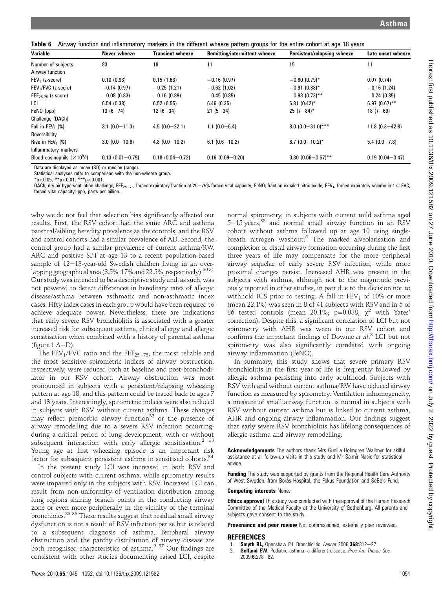Table 6 Airway function and inflammatory markers in the different wheeze pattern groups for the entire cohort at age 18 years

| Variable                            | Never wheeze        | <b>Transient wheeze</b> | Remitting/intermittent wheeze | Persistent/relapsing wheeze | Late onset wheeze   |
|-------------------------------------|---------------------|-------------------------|-------------------------------|-----------------------------|---------------------|
| Number of subjects                  | 83                  | 18                      | 11                            | 15                          | 11                  |
| Airway function                     |                     |                         |                               |                             |                     |
| $FEV1$ (z-score)                    | 0.10(0.93)          | 0.15(1.63)              | $-0.16(0.97)$                 | $-0.80(0.79)$ *             | 0.07(0.74)          |
| FEV <sub>1</sub> /FVC (z-score)     | $-0.14(0.97)$       | $-0.25(1.21)$           | $-0.62$ (1.02)                | $-0.91(0.88)$ *             | $-0.16(1.24)$       |
| $FEF_{25-75}$ (z-score)             | $-0.08(0.83)$       | $-0.16(0.89)$           | $-0.45(0.85)$                 | $-0.93(0.73)$ **            | $-0.24(0.85)$       |
| LCI                                 | 6.54(0.38)          | 6.52(0.55)              | 6.46(0.35)                    | $6.81(0.42)^*$              | $6.97(0.67)$ **     |
| FeNO (ppb)                          | $13(6 - 74)$        | $12(6-34)$              | $21(5-34)$                    | $25(7-84)$ *                | $18(7 - 69)$        |
| Challenge (DACh)                    |                     |                         |                               |                             |                     |
| Fall in FEV <sub>1</sub> $(\%)$     | $3.1(0.0 - 11.3)$   | $4.5(0.0 - 22.1)$       | $1.1(0.0 - 6.4)$              | $8.0(0.0-31.0)$ ***         | $11.8(0.3 - 42.8)$  |
| Reversibility                       |                     |                         |                               |                             |                     |
| Rise in $FEV_1$ (%)                 | $3.0(0.0-10.6)$     | $4.8(0.0 - 10.2)$       | $6.1(0.6 - 10.2)$             | $6.7(0.0-10.2)$ *           | $5.4(0.0 - 7.8)$    |
| Inflammatory markers                |                     |                         |                               |                             |                     |
| Blood eosinophils $(\times 10^9/l)$ | $0.13(0.01 - 0.79)$ | $0.18(0.04 - 0.72)$     | $0.16(0.09 - 0.20)$           | $0.30(0.06 - 0.57)$ **      | $0.19(0.04 - 0.47)$ |

Data are displayed as mean (SD) or median (range).

Statistical analyses refer to comparison with the non-wheeze group. \*p<0.05, \*\*p<0.01, \*\*\*p<0.001.

DACh, dry air hyperventilation challenge; FEF<sub>25-75</sub>, forced expiratory fraction at 25-75% forced vital capacity; FeNO, fraction exhaled nitric oxide; FEV<sub>1</sub>, forced expiratory volume in 1 s; FVC, forced vital capacity; ppb, parts per billion.

why we do not feel that selection bias significantly affected our results. First, the RSV cohort had the same ARC and asthma parental/sibling heredity prevalence as the controls, and the RSV and control cohorts had a similar prevalence of AD. Second, the control group had a similar prevalence of current asthma/RW, ARC and positive SPT at age 13 to a recent population-based sample of  $12-13$ -year-old Swedish children living in an overlapping geographical area (8.5%, 17% and 22.5%, respectively).<sup>3031</sup> Our study was intended to be a descriptive study and, as such, was not powered to detect differences in hereditary rates of allergic disease/asthma between asthmatic and non-asthmatic index cases. Fifty index cases in each group would have been required to achieve adequate power. Nevertheless, there are indications that early severe RSV bronchiolitis is associated with a greater increased risk for subsequent asthma, clinical allergy and allergic sensitisation when combined with a history of parental asthma (figure  $1$  A-D).

The FEV<sub>1</sub>/FVC ratio and the FEF<sub>25-75</sub>, the most reliable and the most sensitive spirometric indices of airway obstruction, respectively, were reduced both at baseline and post-bronchodilator in our RSV cohort. Airway obstruction was most pronounced in subjects with a persistent/relapsing wheezing pattern at age 18, and this pattern could be traced back to ages 7 and 13 years. Interestingly, spirometric indices were also reduced in subjects with RSV without current asthma. These changes may reflect premorbid airway function<sup>32</sup> or the presence of airway remodelling due to a severe RSV infection occurringduring a critical period of lung development, with or without subsequent interaction with early allergic sensitisation.<sup>2</sup> <sup>33</sup> Young age at first wheezing episode is an important risk factor for subsequent persistent asthma in sensitised cohorts.<sup>34</sup>

In the present study LCI was increased in both RSV and control subjects with current asthma, while spirometry results were impaired only in the subjects with RSV. Increased LCI can result from non-uniformity of ventilation distribution among lung regions sharing branch points in the conducting airway zone or even more peripherally in the vicinity of the terminal bronchioles.<sup>35</sup> <sup>36</sup> These results suggest that residual small airway dysfunction is not a result of RSV infection per se but is related to a subsequent diagnosis of asthma. Peripheral airway obstruction and the patchy distribution of airway disease are both recognised characteristics of asthma.<sup>9 37</sup> Our findings are consistent with other studies documenting raised LCI, despite

normal spirometry, in subjects with current mild asthma aged 5-15 years,<sup>38</sup> and normal small airway function in an RSV cohort without asthma followed up at age 10 using singlebreath nitrogen washout.5 The marked alveolarisation and completion of distal airway formation occurring during the first three years of life may compensate for the more peripheral airway sequelae of early severe RSV infection, while more proximal changes persist. Increased AHR was present in the subjects with asthma, although not to the magnitude previously reported in other studies, in part due to the decision not to withhold ICS prior to testing. A fall in  $FEV<sub>1</sub>$  of 10% or more (mean 22.1%) was seen in 8 of 41 subjects with RSV and in 5 of 86 tested controls (mean 20.1%;  $p=0.038$ ;  $\chi^2$  with Yates' correction). Despite this, a significant correlation of LCI but not spirometry with AHR was ween in our RSV cohort and confirms the important findings of Downie et al. <sup>8</sup> LCI but not spirometry was also significantly correlated with ongoing airway inflammation (FeNO).

In summary, this study shows that severe primary RSV bronchiolitis in the first year of life is frequently followed by allergic asthma persisting into early adulthood. Subjects with RSV with and without current asthma/RW have reduced airway function as measured by spirometry. Ventilation inhomogeneity, a measure of small airway function, is normal in subjects with RSV without current asthma but is linked to current asthma, AHR and ongoing airway inflammation. Our findings suggest that early severe RSV bronchiolitis has lifelong consequences of allergic asthma and airway remodelling.

Acknowledgements The authors thank Mrs Gunilla Holmgren Wallmyr for skilful assistance at all follow-up visits in this study and Mr Salmir Nasic for statistical advice.

**Funding** The study was supported by grants from the Regional Health Care Authority of West Sweden, from Borås Hospital, the Fokus Foundation and SeBe's Fund.

#### Competing interests None.

**Ethics approval** This study was conducted with the approval of the Human Research Committee of the Medical Faculty at the University of Gothenburg. All parents and subjects gave consent to the study.

Provenance and peer review Not commissioned; externally peer reviewed.

#### REFERENCES

- 1. **Smyth RL,** Openshaw PJ. Bronchiolitis. *Lancet* 2006;368:312-22.<br>2 **Gelfand FW.** Pediatric asthma: a different disease. *Proc. Am. Thora*
- Gelfand EW. Pediatric asthma: a different disease. Proc Am Thorac Soc 2009:6:278-82.